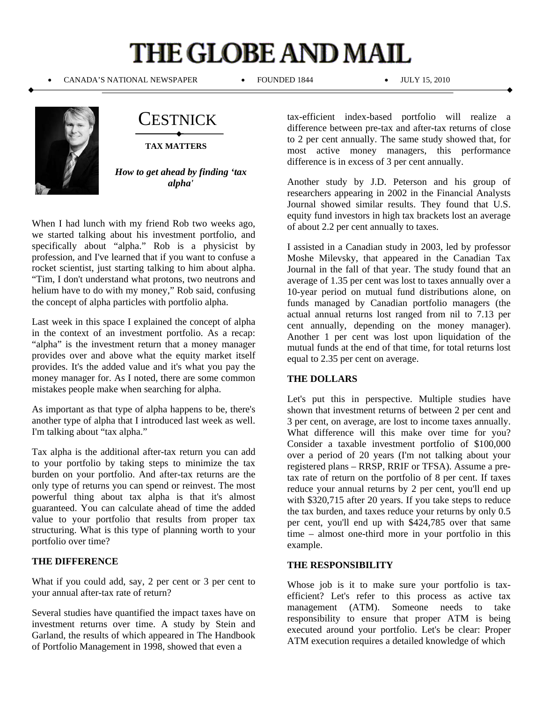## **THE GLOBE AND MAIL**

CANADA'S NATIONAL NEWSPAPER FOUNDED 1844 JULY 15, 2010



CESTNICK

**TAX MATTERS**

*How to get ahead by finding 'tax alpha'* 

When I had lunch with my friend Rob two weeks ago, we started talking about his investment portfolio, and specifically about "alpha." Rob is a physicist by profession, and I've learned that if you want to confuse a rocket scientist, just starting talking to him about alpha. "Tim, I don't understand what protons, two neutrons and helium have to do with my money," Rob said, confusing the concept of alpha particles with portfolio alpha.

Last week in this space I explained the concept of alpha in the context of an investment portfolio. As a recap: "alpha" is the investment return that a money manager provides over and above what the equity market itself provides. It's the added value and it's what you pay the money manager for. As I noted, there are some common mistakes people make when searching for alpha.

As important as that type of alpha happens to be, there's another type of alpha that I introduced last week as well. I'm talking about "tax alpha."

Tax alpha is the additional after-tax return you can add to your portfolio by taking steps to minimize the tax burden on your portfolio. And after-tax returns are the only type of returns you can spend or reinvest. The most powerful thing about tax alpha is that it's almost guaranteed. You can calculate ahead of time the added value to your portfolio that results from proper tax structuring. What is this type of planning worth to your portfolio over time?

## **THE DIFFERENCE**

What if you could add, say, 2 per cent or 3 per cent to your annual after-tax rate of return?

Several studies have quantified the impact taxes have on investment returns over time. A study by Stein and Garland, the results of which appeared in The Handbook of Portfolio Management in 1998, showed that even a

tax-efficient index-based portfolio will realize a difference between pre-tax and after-tax returns of close to 2 per cent annually. The same study showed that, for most active money managers, this performance difference is in excess of 3 per cent annually.

Another study by J.D. Peterson and his group of researchers appearing in 2002 in the Financial Analysts Journal showed similar results. They found that U.S. equity fund investors in high tax brackets lost an average of about 2.2 per cent annually to taxes.

I assisted in a Canadian study in 2003, led by professor Moshe Milevsky, that appeared in the Canadian Tax Journal in the fall of that year. The study found that an average of 1.35 per cent was lost to taxes annually over a 10-year period on mutual fund distributions alone, on funds managed by Canadian portfolio managers (the actual annual returns lost ranged from nil to 7.13 per cent annually, depending on the money manager). Another 1 per cent was lost upon liquidation of the mutual funds at the end of that time, for total returns lost equal to 2.35 per cent on average.

## **THE DOLLARS**

Let's put this in perspective. Multiple studies have shown that investment returns of between 2 per cent and 3 per cent, on average, are lost to income taxes annually. What difference will this make over time for you? Consider a taxable investment portfolio of \$100,000 over a period of 20 years (I'm not talking about your registered plans – RRSP, RRIF or TFSA). Assume a pretax rate of return on the portfolio of 8 per cent. If taxes reduce your annual returns by 2 per cent, you'll end up with \$320,715 after 20 years. If you take steps to reduce the tax burden, and taxes reduce your returns by only 0.5 per cent, you'll end up with \$424,785 over that same time – almost one-third more in your portfolio in this example.

## **THE RESPONSIBILITY**

Whose job is it to make sure your portfolio is taxefficient? Let's refer to this process as active tax management (ATM). Someone needs to take responsibility to ensure that proper ATM is being executed around your portfolio. Let's be clear: Proper ATM execution requires a detailed knowledge of which